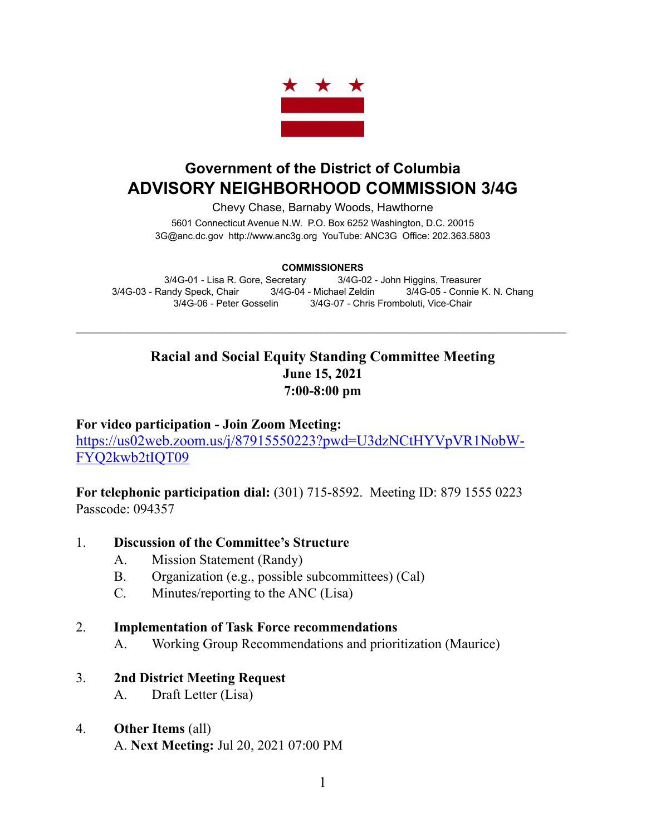

# **Government of the District of Columbia ADVISORY NEIGHBORHOOD COMMISSION 3/4G**

Chevy Chase, Barnaby Woods, Hawthorne

5601 Connecticut Avenue N.W. P.O. Box 6252 Washington, D.C. 20015 3G@anc.dc.gov <http://www.anc3g.org>YouTube: ANC3G Office: 202.363.5803

#### **COMMISSIONERS**

3/4G-01 - Lisa R. Gore, Secretary 3/4G-02 - John Higgins, Treasurer 3/4G-03 - Randy Speck, Chair 3/4G-04 - Michael Zeldin 3/4G-05 - Connie K. N. Chang 3/4G-06 - Peter Gosselin 3/4G-07 - Chris Fromboluti, Vice-Chair

\_\_\_\_\_\_\_\_\_\_\_\_\_\_\_\_\_\_\_\_\_\_\_\_\_\_\_\_\_\_\_\_\_\_\_\_\_\_\_\_\_\_\_\_\_\_\_\_\_\_\_\_\_\_\_\_\_\_\_\_\_\_\_\_\_\_\_\_\_\_\_\_\_\_\_\_

### **Racial and Social Equity Standing Committee Meeting June 15, 2021 7:00-8:00 pm**

#### **For video participation - Join Zoom Meeting:**

[https://us02web.zoom.us/j/87915550223?pwd=U3dzNCtHYVpVR1NobW-](https://us02web.zoom.us/j/87915550223?pwd=U3dzNCtHYVpVR1NobWFYQ2kwb2tIQT09)[FYQ2kwb2tIQT09](https://us02web.zoom.us/j/87915550223?pwd=U3dzNCtHYVpVR1NobWFYQ2kwb2tIQT09)

**For telephonic participation dial:** (301) 715-8592. Meeting ID: 879 1555 0223 Passcode: 094357

#### 1. **Discussion of the Committee's Structure**

- A. Mission Statement (Randy)
- B. Organization (e.g., possible subcommittees) (Cal)
- C. Minutes/reporting to the ANC (Lisa)

#### 2. **Implementation of Task Force recommendations**

A. Working Group Recommendations and prioritization (Maurice)

#### 3. **2nd District Meeting Request**

A. Draft Letter (Lisa)

## 4. **Other Items** (all)

A. **Next Meeting:** Jul 20, 2021 07:00 PM